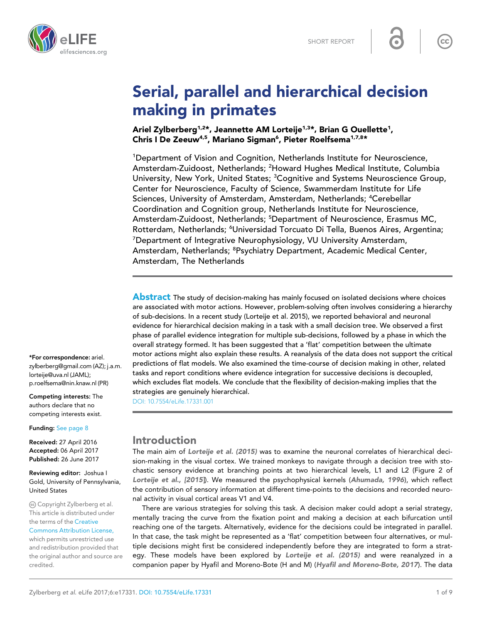

# Serial, parallel and hierarchical decision making in primates

Ariel Zylberberg<sup>1,2\*</sup>, Jeannette AM Lorteije<sup>1,3\*</sup>, Brian G Ouellette<sup>1</sup>, Chris I De Zeeuw<sup>4,5</sup>, Mariano Sigman<sup>6</sup>, Pieter Roelfsema<sup>1,7,8</sup>\*

<sup>1</sup>Department of Vision and Cognition, Netherlands Institute for Neuroscience, Amsterdam-Zuidoost, Netherlands; <sup>2</sup>Howard Hughes Medical Institute, Columbia University, New York, United States; <sup>3</sup>Cognitive and Systems Neuroscience Group, Center for Neuroscience, Faculty of Science, Swammerdam Institute for Life Sciences, University of Amsterdam, Amsterdam, Netherlands; <sup>4</sup>Cerebellar Coordination and Cognition group, Netherlands Institute for Neuroscience, Amsterdam-Zuidoost, Netherlands; <sup>5</sup>Department of Neuroscience, Erasmus MC, Rotterdam, Netherlands; <sup>6</sup>Universidad Torcuato Di Tella, Buenos Aires, Argentina; <sup>7</sup>Department of Integrative Neurophysiology, VU University Amsterdam, Amsterdam, Netherlands; <sup>8</sup>Psychiatry Department, Academic Medical Center, Amsterdam, The Netherlands

**Abstract** The study of decision-making has mainly focused on isolated decisions where choices are associated with motor actions. However, problem-solving often involves considering a hierarchy of sub-decisions. In a recent study (Lorteije et al. 2015), we reported behavioral and neuronal evidence for hierarchical decision making in a task with a small decision tree. We observed a first phase of parallel evidence integration for multiple sub-decisions, followed by a phase in which the overall strategy formed. It has been suggested that a 'flat' competition between the ultimate motor actions might also explain these results. A reanalysis of the data does not support the critical predictions of flat models. We also examined the time-course of decision making in other, related tasks and report conditions where evidence integration for successive decisions is decoupled, which excludes flat models. We conclude that the flexibility of decision-making implies that the strategies are genuinely hierarchical.

[DOI: 10.7554/eLife.17331.001](http://dx.doi.org/10.7554/eLife.17331.001)

# Introduction

The main aim of [Lorteije et al. \(2015\)](#page-8-0) was to examine the neuronal correlates of hierarchical decision-making in the visual cortex. We trained monkeys to navigate through a decision tree with stochastic sensory evidence at branching points at two hierarchical levels, L1 and L2 (Figure 2 of [Lorteije et al., \[2015](#page-8-0)]). We measured the psychophysical kernels ([Ahumada, 1996](#page-8-0)), which reflect the contribution of sensory information at different time-points to the decisions and recorded neuronal activity in visual cortical areas V1 and V4.

There are various strategies for solving this task. A decision maker could adopt a serial strategy, mentally tracing the curve from the fixation point and making a decision at each bifurcation until reaching one of the targets. Alternatively, evidence for the decisions could be integrated in parallel. In that case, the task might be represented as a 'flat' competition between four alternatives, or multiple decisions might first be considered independently before they are integrated to form a strat-egy. These models have been explored by [Lorteije et al. \(2015\)](#page-8-0) and were reanalyzed in a companion paper by Hyafil and Moreno-Bote (H and M) ([Hyafil and Moreno-Bote, 2017](#page-8-0)). The data

\*For correspondence: ariel. zylberberg@gmail.com (AZ); j.a.m. lorteije@uva.nl (JAML); p.roelfsema@nin.knaw.nl (PR)

Competing interests: The authors declare that no competing interests exist.

Funding: [See page 8](#page-7-0)

Received: 27 April 2016 Accepted: 06 April 2017 Published: 26 June 2017

Reviewing editor: Joshua I Gold, University of Pennsylvania, United States

Copyright Zylberberg et al. This article is distributed under the terms of the [Creative](http://creativecommons.org/licenses/by/4.0/)

[Commons Attribution License,](http://creativecommons.org/licenses/by/4.0/) which permits unrestricted use and redistribution provided that the original author and source are credited.

 $cc$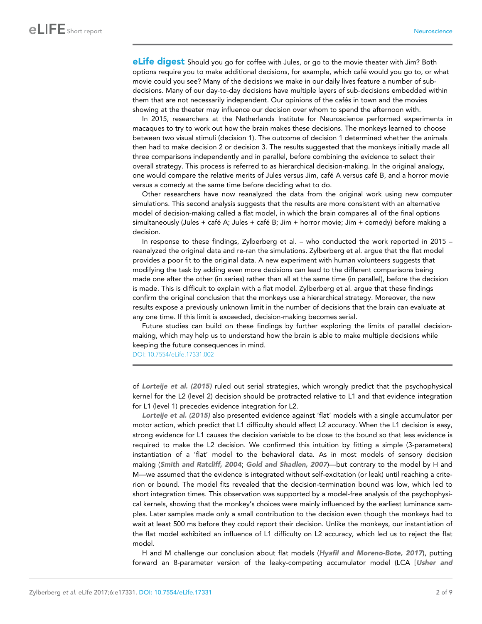**eLife digest** Should you go for coffee with Jules, or go to the movie theater with Jim? Both options require you to make additional decisions, for example, which cafe´ would you go to, or what movie could you see? Many of the decisions we make in our daily lives feature a number of subdecisions. Many of our day-to-day decisions have multiple layers of sub-decisions embedded within them that are not necessarily independent. Our opinions of the cafés in town and the movies showing at the theater may influence our decision over whom to spend the afternoon with.

In 2015, researchers at the Netherlands Institute for Neuroscience performed experiments in macaques to try to work out how the brain makes these decisions. The monkeys learned to choose between two visual stimuli (decision 1). The outcome of decision 1 determined whether the animals then had to make decision 2 or decision 3. The results suggested that the monkeys initially made all three comparisons independently and in parallel, before combining the evidence to select their overall strategy. This process is referred to as hierarchical decision-making. In the original analogy, one would compare the relative merits of Jules versus Jim, café A versus café B, and a horror movie versus a comedy at the same time before deciding what to do.

Other researchers have now reanalyzed the data from the original work using new computer simulations. This second analysis suggests that the results are more consistent with an alternative model of decision-making called a flat model, in which the brain compares all of the final options simultaneously (Jules + café A; Jules + café B; Jim + horror movie; Jim + comedy) before making a decision.

In response to these findings, Zylberberg et al. – who conducted the work reported in 2015 – reanalyzed the original data and re-ran the simulations. Zylberberg et al. argue that the flat model provides a poor fit to the original data. A new experiment with human volunteers suggests that modifying the task by adding even more decisions can lead to the different comparisons being made one after the other (in series) rather than all at the same time (in parallel), before the decision is made. This is difficult to explain with a flat model. Zylberberg et al. argue that these findings confirm the original conclusion that the monkeys use a hierarchical strategy. Moreover, the new results expose a previously unknown limit in the number of decisions that the brain can evaluate at any one time. If this limit is exceeded, decision-making becomes serial.

Future studies can build on these findings by further exploring the limits of parallel decisionmaking, which may help us to understand how the brain is able to make multiple decisions while keeping the future consequences in mind.

[DOI: 10.7554/eLife.17331.002](http://dx.doi.org/10.7554/eLife.17331.002)

of [Lorteije et al. \(2015\)](#page-8-0) ruled out serial strategies, which wrongly predict that the psychophysical kernel for the L2 (level 2) decision should be protracted relative to L1 and that evidence integration for L1 (level 1) precedes evidence integration for L2.

[Lorteije et al. \(2015\)](#page-8-0) also presented evidence against 'flat' models with a single accumulator per motor action, which predict that L1 difficulty should affect L2 accuracy. When the L1 decision is easy, strong evidence for L1 causes the decision variable to be close to the bound so that less evidence is required to make the L2 decision. We confirmed this intuition by fitting a simple (3-parameters) instantiation of a 'flat' model to the behavioral data. As in most models of sensory decision making ([Smith and Ratcliff, 2004](#page-8-0); [Gold and Shadlen, 2007](#page-8-0))—but contrary to the model by H and M—we assumed that the evidence is integrated without self-excitation (or leak) until reaching a criterion or bound. The model fits revealed that the decision-termination bound was low, which led to short integration times. This observation was supported by a model-free analysis of the psychophysical kernels, showing that the monkey's choices were mainly influenced by the earliest luminance samples. Later samples made only a small contribution to the decision even though the monkeys had to wait at least 500 ms before they could report their decision. Unlike the monkeys, our instantiation of the flat model exhibited an influence of L1 difficulty on L2 accuracy, which led us to reject the flat model.

H and M challenge our conclusion about flat models ([Hyafil and Moreno-Bote, 2017](#page-8-0)), putting forward an 8-parameter version of the leaky-competing accumulator model (LCA [[Usher and](#page-8-0)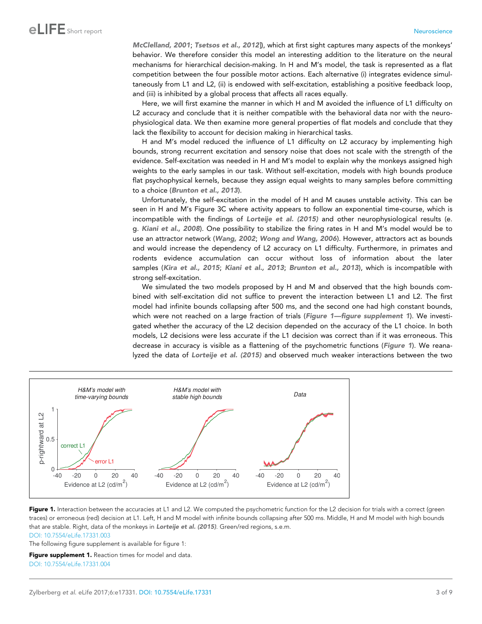<span id="page-2-0"></span>[McClelland, 2001](#page-8-0); [Tsetsos et al., 2012](#page-8-0)]), which at first sight captures many aspects of the monkeys' behavior. We therefore consider this model an interesting addition to the literature on the neural mechanisms for hierarchical decision-making. In H and M's model, the task is represented as a flat competition between the four possible motor actions. Each alternative (i) integrates evidence simultaneously from L1 and L2, (ii) is endowed with self-excitation, establishing a positive feedback loop, and (iii) is inhibited by a global process that affects all races equally.

Here, we will first examine the manner in which H and M avoided the influence of L1 difficulty on L2 accuracy and conclude that it is neither compatible with the behavioral data nor with the neurophysiological data. We then examine more general properties of flat models and conclude that they lack the flexibility to account for decision making in hierarchical tasks.

H and M's model reduced the influence of L1 difficulty on L2 accuracy by implementing high bounds, strong recurrent excitation and sensory noise that does not scale with the strength of the evidence. Self-excitation was needed in H and M's model to explain why the monkeys assigned high weights to the early samples in our task. Without self-excitation, models with high bounds produce flat psychophysical kernels, because they assign equal weights to many samples before committing to a choice ([Brunton et al., 2013](#page-8-0)).

Unfortunately, the self-excitation in the model of H and M causes unstable activity. This can be seen in H and M's Figure 3C where activity appears to follow an exponential time-course, which is incompatible with the findings of [Lorteije et al. \(2015\)](#page-8-0) and other neurophysiological results (e. g. [Kiani et al., 2008](#page-8-0)). One possibility to stabilize the firing rates in H and M's model would be to use an attractor network ([Wang, 2002](#page-8-0); [Wong and Wang, 2006](#page-8-0)). However, attractors act as bounds and would increase the dependency of L2 accuracy on L1 difficulty. Furthermore, in primates and rodents evidence accumulation can occur without loss of information about the later samples ([Kira et al., 2015](#page-8-0); [Kiani et al., 2013](#page-8-0); [Brunton et al., 2013](#page-8-0)), which is incompatible with strong self-excitation.

We simulated the two models proposed by H and M and observed that the high bounds combined with self-excitation did not suffice to prevent the interaction between L1 and L2. The first model had infinite bounds collapsing after 500 ms, and the second one had high constant bounds, which were not reached on a large fraction of trials (Figure 1—figure supplement 1). We investigated whether the accuracy of the L2 decision depended on the accuracy of the L1 choice. In both models, L2 decisions were less accurate if the L1 decision was correct than if it was erroneous. This decrease in accuracy is visible as a flattening of the psychometric functions (Figure 1). We reanalyzed the data of [Lorteije et al. \(2015\)](#page-8-0) and observed much weaker interactions between the two



Figure 1. Interaction between the accuracies at L1 and L2. We computed the psychometric function for the L2 decision for trials with a correct (green traces) or erroneous (red) decision at L1. Left, H and M model with infinite bounds collapsing after 500 ms. Middle, H and M model with high bounds that are stable. Right, data of the monkeys in [Lorteije et al. \(2015\)](#page-8-0). Green/red regions, s.e.m.

[DOI: 10.7554/eLife.17331.003](http://dx.doi.org/10.7554/eLife.17331.003)

The following figure supplement is available for figure 1:

Figure supplement 1. Reaction times for model and data. [DOI: 10.7554/eLife.17331.004](http://dx.doi.org/10.7554/eLife.17331.004)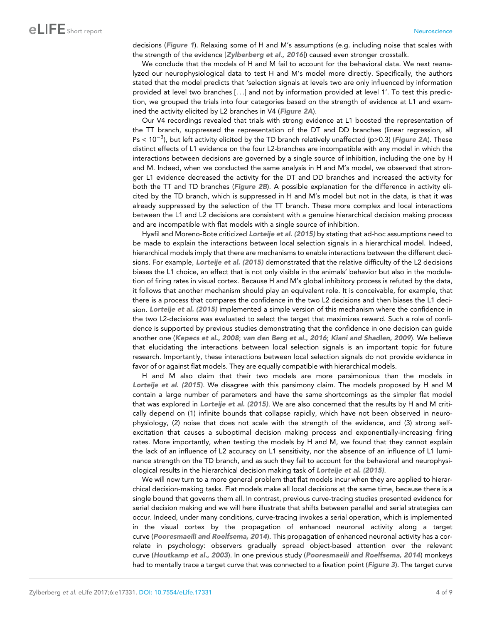decisions ([Figure 1](#page-2-0)). Relaxing some of H and M's assumptions (e.g. including noise that scales with the strength of the evidence [[Zylberberg et al., 2016](#page-8-0)]) caused even stronger crosstalk.

We conclude that the models of H and M fail to account for the behavioral data. We next reanalyzed our neurophysiological data to test H and M's model more directly. Specifically, the authors stated that the model predicts that 'selection signals at levels two are only influenced by information provided at level two branches [. . .] and not by information provided at level 1'. To test this prediction, we grouped the trials into four categories based on the strength of evidence at L1 and examined the activity elicited by L2 branches in V4 ([Figure 2A](#page-4-0)).

Our V4 recordings revealed that trials with strong evidence at L1 boosted the representation of the TT branch, suppressed the representation of the DT and DD branches (linear regression, all  $Ps < 10^{-3}$ ), but left activity elicited by the TD branch relatively unaffected (p>0.3) ([Figure 2A](#page-4-0)). These distinct effects of L1 evidence on the four L2-branches are incompatible with any model in which the interactions between decisions are governed by a single source of inhibition, including the one by H and M. Indeed, when we conducted the same analysis in H and M's model, we observed that stronger L1 evidence decreased the activity for the DT and DD branches and increased the activity for both the TT and TD branches ([Figure 2B](#page-4-0)). A possible explanation for the difference in activity elicited by the TD branch, which is suppressed in H and M's model but not in the data, is that it was already suppressed by the selection of the TT branch. These more complex and local interactions between the L1 and L2 decisions are consistent with a genuine hierarchical decision making process and are incompatible with flat models with a single source of inhibition.

Hyafil and Moreno-Bote criticized [Lorteije et al. \(2015\)](#page-8-0) by stating that ad-hoc assumptions need to be made to explain the interactions between local selection signals in a hierarchical model. Indeed, hierarchical models imply that there are mechanisms to enable interactions between the different deci-sions. For example, [Lorteije et al. \(2015\)](#page-8-0) demonstrated that the relative difficulty of the L2 decisions biases the L1 choice, an effect that is not only visible in the animals' behavior but also in the modulation of firing rates in visual cortex. Because H and M's global inhibitory process is refuted by the data, it follows that another mechanism should play an equivalent role. It is conceivable, for example, that there is a process that compares the confidence in the two L2 decisions and then biases the L1 deci-sion. [Lorteije et al. \(2015\)](#page-8-0) implemented a simple version of this mechanism where the confidence in the two L2-decisions was evaluated to select the target that maximizes reward. Such a role of confidence is supported by previous studies demonstrating that the confidence in one decision can guide another one ([Kepecs et al., 2008](#page-8-0); [van den Berg et al., 2016](#page-8-0); [Kiani and Shadlen, 2009](#page-8-0)). We believe that elucidating the interactions between local selection signals is an important topic for future research. Importantly, these interactions between local selection signals do not provide evidence in favor of or against flat models. They are equally compatible with hierarchical models.

H and M also claim that their two models are more parsimonious than the models in [Lorteije et al. \(2015\)](#page-8-0). We disagree with this parsimony claim. The models proposed by H and M contain a large number of parameters and have the same shortcomings as the simpler flat model that was explored in [Lorteije et al. \(2015\)](#page-8-0). We are also concerned that the results by H and M critically depend on (1) infinite bounds that collapse rapidly, which have not been observed in neurophysiology, (2) noise that does not scale with the strength of the evidence, and (3) strong selfexcitation that causes a suboptimal decision making process and exponentially-increasing firing rates. More importantly, when testing the models by H and M, we found that they cannot explain the lack of an influence of L2 accuracy on L1 sensitivity, nor the absence of an influence of L1 luminance strength on the TD branch, and as such they fail to account for the behavioral and neurophysiological results in the hierarchical decision making task of [Lorteije et al. \(2015\)](#page-8-0).

We will now turn to a more general problem that flat models incur when they are applied to hierarchical decision-making tasks. Flat models make all local decisions at the same time, because there is a single bound that governs them all. In contrast, previous curve-tracing studies presented evidence for serial decision making and we will here illustrate that shifts between parallel and serial strategies can occur. Indeed, under many conditions, curve-tracing invokes a serial operation, which is implemented in the visual cortex by the propagation of enhanced neuronal activity along a target curve ([Pooresmaeili and Roelfsema, 2014](#page-8-0)). This propagation of enhanced neuronal activity has a correlate in psychology: observers gradually spread object-based attention over the relevant curve ([Houtkamp et al., 2003](#page-8-0)). In one previous study ([Pooresmaeili and Roelfsema, 2014](#page-8-0)) monkeys had to mentally trace a target curve that was connected to a fixation point ([Figure 3](#page-5-0)). The target curve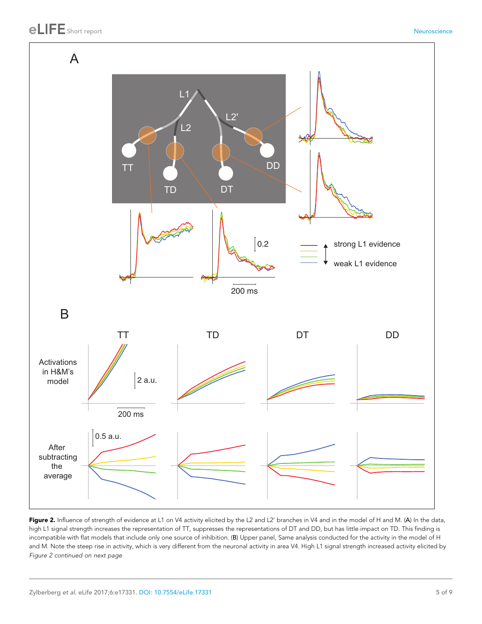<span id="page-4-0"></span>

Figure 2. Influence of strength of evidence at L1 on V4 activity elicited by the L2 and L2' branches in V4 and in the model of H and M. (A) In the data, high L1 signal strength increases the representation of TT, suppresses the representations of DT and DD, but has little impact on TD. This finding is incompatible with flat models that include only one source of inhibition. (B) Upper panel, Same analysis conducted for the activity in the model of H and M. Note the steep rise in activity, which is very different from the neuronal activity in area V4. High L1 signal strength increased activity elicited by Figure 2 continued on next page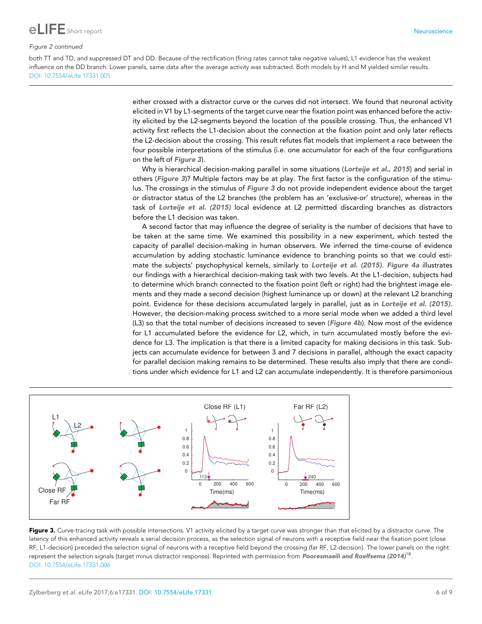<span id="page-5-0"></span>

#### Figure 2 continued

both TT and TD, and suppressed DT and DD. Because of the rectification (firing rates cannot take negative values), L1 evidence has the weakest influence on the DD branch. Lower panels, same data after the average activity was subtracted. Both models by H and M yielded similar results. [DOI: 10.7554/eLife.17331.005](http://dx.doi.org/10.7554/eLife.17331.005)

> either crossed with a distractor curve or the curves did not intersect. We found that neuronal activity elicited in V1 by L1-segments of the target curve near the fixation point was enhanced before the activity elicited by the L2-segments beyond the location of the possible crossing. Thus, the enhanced V1 activity first reflects the L1-decision about the connection at the fixation point and only later reflects the L2-decision about the crossing. This result refutes flat models that implement a race between the four possible interpretations of the stimulus (i.e. one accumulator for each of the four configurations on the left of Figure 3).

> Why is hierarchical decision-making parallel in some situations ([Lorteije et al., 2015](#page-8-0)) and serial in others (Figure 3)? Multiple factors may be at play. The first factor is the configuration of the stimulus. The crossings in the stimulus of Figure 3 do not provide independent evidence about the target or distractor status of the L2 branches (the problem has an 'exclusive-or' structure), whereas in the task of [Lorteije et al. \(2015\)](#page-8-0) local evidence at L2 permitted discarding branches as distractors before the L1 decision was taken.

> A second factor that may influence the degree of seriality is the number of decisions that have to be taken at the same time. We examined this possibility in a new experiment, which tested the capacity of parallel decision-making in human observers. We inferred the time-course of evidence accumulation by adding stochastic luminance evidence to branching points so that we could estimate the subjects' psychophysical kernels, similarly to [Lorteije et al. \(2015\)](#page-8-0). [Figure 4a](#page-6-0) illustrates our findings with a hierarchical decision-making task with two levels. At the L1-decision, subjects had to determine which branch connected to the fixation point (left or right) had the brightest image elements and they made a second decision (highest luminance up or down) at the relevant L2 branching point. Evidence for these decisions accumulated largely in parallel, just as in [Lorteije et al. \(2015\)](#page-8-0). However, the decision-making process switched to a more serial mode when we added a third level (L3) so that the total number of decisions increased to seven ([Figure 4b](#page-6-0)). Now most of the evidence for L1 accumulated before the evidence for L2, which, in turn accumulated mostly before the evidence for L3. The implication is that there is a limited capacity for making decisions in this task. Subjects can accumulate evidence for between 3 and 7 decisions in parallel, although the exact capacity for parallel decision making remains to be determined. These results also imply that there are conditions under which evidence for L1 and L2 can accumulate independently. It is therefore parsimonious



Figure 3. Curve-tracing task with possible intersections. V1 activity elicited by a target curve was stronger than that elicited by a distractor curve. The latency of this enhanced activity reveals a serial decision process, as the selection signal of neurons with a receptive field near the fixation point (close RF, L1-decision) preceded the selection signal of neurons with a receptive field beyond the crossing (far RF, L2-decision). The lower panels on the right represent the selection signals (target minus distractor response). Reprinted with permission from [Pooresmaeili and Roelfsema \(2014\)](#page-8-0)<sup>18</sup>. [DOI: 10.7554/eLife.17331.006](http://dx.doi.org/10.7554/eLife.17331.006)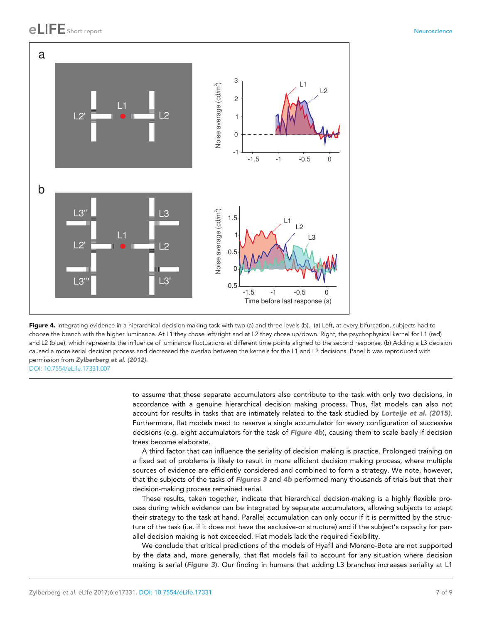# <span id="page-6-0"></span>Short report **Neuroscience (1996)** with the state of the state of the state of the state of the state of the state of the state of the state of the state of the state of the state of the state of the state of the state of





to assume that these separate accumulators also contribute to the task with only two decisions, in accordance with a genuine hierarchical decision making process. Thus, flat models can also not account for results in tasks that are intimately related to the task studied by [Lorteije et al. \(2015\)](#page-8-0). Furthermore, flat models need to reserve a single accumulator for every configuration of successive decisions (e.g. eight accumulators for the task of Figure 4b), causing them to scale badly if decision trees become elaborate.

A third factor that can influence the seriality of decision making is practice. Prolonged training on a fixed set of problems is likely to result in more efficient decision making process, where multiple sources of evidence are efficiently considered and combined to form a strategy. We note, however, that the subjects of the tasks of [Figures 3](#page-5-0) and 4b performed many thousands of trials but that their decision-making process remained serial.

These results, taken together, indicate that hierarchical decision-making is a highly flexible process during which evidence can be integrated by separate accumulators, allowing subjects to adapt their strategy to the task at hand. Parallel accumulation can only occur if it is permitted by the structure of the task (i.e. if it does not have the exclusive-or structure) and if the subject's capacity for parallel decision making is not exceeded. Flat models lack the required flexibility.

We conclude that critical predictions of the models of Hyafil and Moreno-Bote are not supported by the data and, more generally, that flat models fail to account for any situation where decision making is serial ([Figure 3](#page-5-0)). Our finding in humans that adding L3 branches increases seriality at L1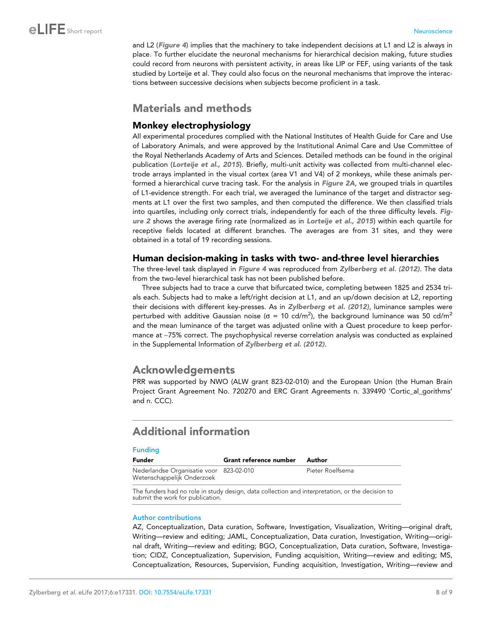<span id="page-7-0"></span>and L2 ([Figure 4](#page-6-0)) implies that the machinery to take independent decisions at L1 and L2 is always in place. To further elucidate the neuronal mechanisms for hierarchical decision making, future studies could record from neurons with persistent activity, in areas like LIP or FEF, using variants of the task studied by Lorteije et al. They could also focus on the neuronal mechanisms that improve the interactions between successive decisions when subjects become proficient in a task.

## Materials and methods

## Monkey electrophysiology

All experimental procedures complied with the National Institutes of Health Guide for Care and Use of Laboratory Animals, and were approved by the Institutional Animal Care and Use Committee of the Royal Netherlands Academy of Arts and Sciences. Detailed methods can be found in the original publication ([Lorteije et al., 2015](#page-8-0)). Briefly, multi-unit activity was collected from multi-channel electrode arrays implanted in the visual cortex (area V1 and V4) of 2 monkeys, while these animals performed a hierarchical curve tracing task. For the analysis in [Figure 2A](#page-4-0), we grouped trials in quartiles of L1-evidence strength. For each trial, we averaged the luminance of the target and distractor segments at L1 over the first two samples, and then computed the difference. We then classified trials into quartiles, including only correct trials, independently for each of the three difficulty levels. [Fig](#page-4-0)[ure 2](#page-4-0) shows the average firing rate (normalized as in [Lorteije et al., 2015](#page-8-0)) within each quartile for receptive fields located at different branches. The averages are from 31 sites, and they were obtained in a total of 19 recording sessions.

## Human decision-making in tasks with two- and-three level hierarchies

The three-level task displayed in [Figure 4](#page-6-0) was reproduced from [Zylberberg et al. \(2012\)](#page-8-0). The data from the two-level hierarchical task has not been published before.

Three subjects had to trace a curve that bifurcated twice, completing between 1825 and 2534 trials each. Subjects had to make a left/right decision at L1, and an up/down decision at L2, reporting their decisions with different key-presses. As in [Zylberberg et al. \(2012\)](#page-8-0), luminance samples were perturbed with additive Gaussian noise ( $\sigma$  = 10 cd/m<sup>2</sup>), the background luminance was 50 cd/m<sup>2</sup> and the mean luminance of the target was adjusted online with a Quest procedure to keep performance at ~75% correct. The psychophysical reverse correlation analysis was conducted as explained in the Supplemental Information of [Zylberberg et al. \(2012\)](#page-8-0).

# Acknowledgements

PRR was supported by NWO (ALW grant 823-02-010) and the European Union (the Human Brain Project Grant Agreement No. 720270 and ERC Grant Agreements n. 339490 'Cortic\_al\_gorithms' and n. CCC).

# Additional information

### Funding

| <b>Funder</b>                                                         | Grant reference number | Author           |
|-----------------------------------------------------------------------|------------------------|------------------|
| Nederlandse Organisatie voor 823-02-010<br>Wetenschappelijk Onderzoek |                        | Pieter Roelfsema |

The funders had no role in study design, data collection and interpretation, or the decision to submit the work for publication.

#### Author contributions

AZ, Conceptualization, Data curation, Software, Investigation, Visualization, Writing—original draft, Writing—review and editing; JAML, Conceptualization, Data curation, Investigation, Writing—original draft, Writing—review and editing; BGO, Conceptualization, Data curation, Software, Investigation; CIDZ, Conceptualization, Supervision, Funding acquisition, Writing—review and editing; MS, Conceptualization, Resources, Supervision, Funding acquisition, Investigation, Writing—review and